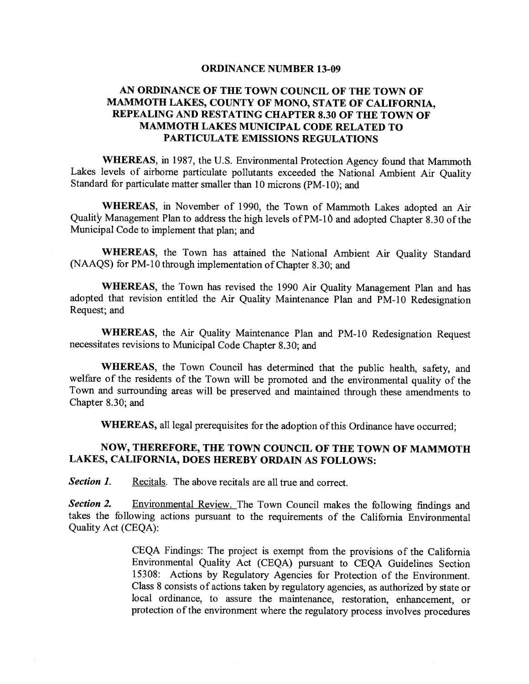#### ORDINANCE NUMBER 13-09

### AN ORDINANCE OF THE TOWN COUNCIL OF THE TOWN OF MAMMOTH LAKES, COUNTY OF MONO, STATE OF CALIFORNIA, REPEALING AND RESTATING CHAPTER 8.30 OF THE TOWN OF MAMMOTH LAKES MUNICIPAL CODE RELATED TO PARTICULATE EMISSIONS REGULATIONS

WHEREAS, in 1987, the U.S. Environmental Protection Agency found that Mammoth Lakes levels of airborne particulate pollutants exceeded the National Ambient Air Quality Standard for particulate matter smaller than 10 microns (PM-10); and

WHEREAS, in November of 1990, the Town of Mammoth Lakes adopted an Air Quality Management Plan to address the high levels of PM-1O and adopted Chapter 8.30 of the Municipal Code to implement that plan; and

WHEREAS, the Town has attained the National Ambient Air Quality Standard (NAAQS) for PM-10 through implementation of Chapter 8.30; and

WHEREAS, the Town has revised the 1990 Air Quality Management Plan and has adopted that revision entitled the Air Quality Maintenance Plan and PM-10 Redesignation Request; and

WHEREAS, the Air Quality Maintenance Plan and PM-l0 Redesignation Request necessitates revisions to Municipal Code Chapter 8.30; and

WHEREAS, the Town Council has determined that the public health, safety, and welfare of the residents of the Town will be promoted and the environmental quality of the Town and surrounding areas will be preserved and maintained through these amendments to Chapter 8.30; and

WHEREAS, all legal prerequisites for the adoption of this Ordinance have occurred;

#### NOW, THEREFORE, THE TOWN COUNCIL OF THE TOWN OF MAMMOTH LAKES, CALIFORNIA, DOES HEREBY ORDAIN AS FOLLOWS:

Section 1. Recitals. The above recitals are all true and correct.

Section 2. Environmental Review. The Town Council makes the following findings and takes the following actions pursuant to the requirements of the California Environmental Quality Act (CEQA):

> CEQA Findings: The project is exempt from the provisions of the California Environmental Quality Act (CEQA) pursuant to CEQA Guidelines Section 15308: Actions by Regulatory Agencies for Protection of the Environment. Class 8 consists of actions taken by regulatory agencies, as authorized by state or local ordinance, to assure the maintenance, restoration, enhancement, or protection of the environment where the regulatory process involves procedures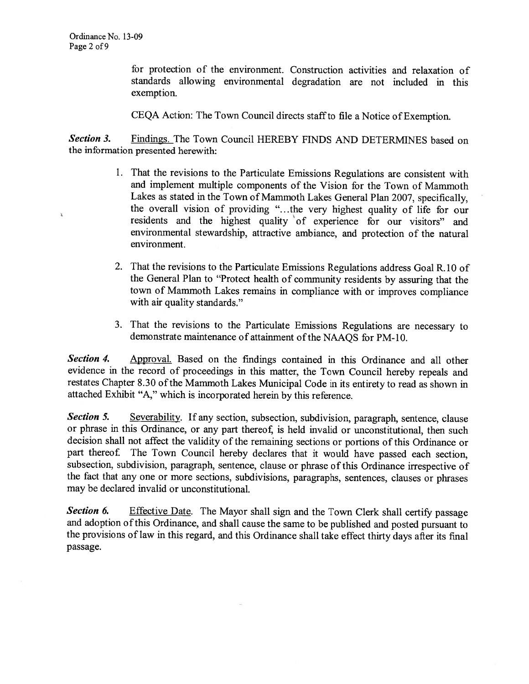¥

for protection of the environment. Construction activities and relaxation of standards allowing environmental degradation are not included in this exemption.

CEQA Action: The Town Council directs staff to file a Notice of Exemption.

Section 3. Findings. The Town Council HEREBY FINDS AND DETERMINES based on the information presented herewith:

- 1. That the revisions to the Particulate Emissions Regulations are consistent with and implement multiple components of the Vision for the Town of Mammoth Lakes as stated in the Town of Mammoth Lakes General Plan 2007, specifically, the overall vision of providing ". . .the very highest quality of life for our residents and the highest quality of experience for our visitors" and environmental stewardship, attractive ambiance, and protection of the natural environment.
- 2. That the revisions to the Particulate Emissions Regulations address Goal R. 10 of the General Plan to "Protect health of community residents by assuring that the town of Mammoth Lakes remains in compliance with or improves compliance with air quality standards."
- 3. That the revisions to the Particulate Emissions Regulations are necessary to demonstrate maintenance of attainment of the NAAQS for PM-10.

Section 4. Approval. Based on the findings contained in this Ordinance and all other evidence in the record of proceedings in this matter, the Town Council hereby repeals and restates Chapter 8.30 of the Mammoth Lakes Municipal Code in its entirety to read as shown in attached Exhibit "A," which is incorporated herein by this reference.

Section 5. Severability. If any section, subsection, subdivision, paragraph, sentence, clause or phrase in this Ordinance, or any part thereof, is held invalid or unconstitutional, then such decision shall not affect the validity of the remaining sections or portions of this Ordinance or part thereof. The Town Council hereby declares that it would have passed each section, subsection, subdivision, paragraph, sentence, clause or phrase of this Ordinance irrespective of the fact that any one or more sections, subdivisions, paragraphs, sentences, clauses or phrases may be declared invalid or unconstitutional.

Section 6. Effective Date. The Mayor shall sign and the Town Clerk shall certify passage and adoption ofthis Ordinance, and shall cause the same to be published and posted pursuant to the provisions of law in this regard, and this Ordinance shall take effect thirty days after its final passage.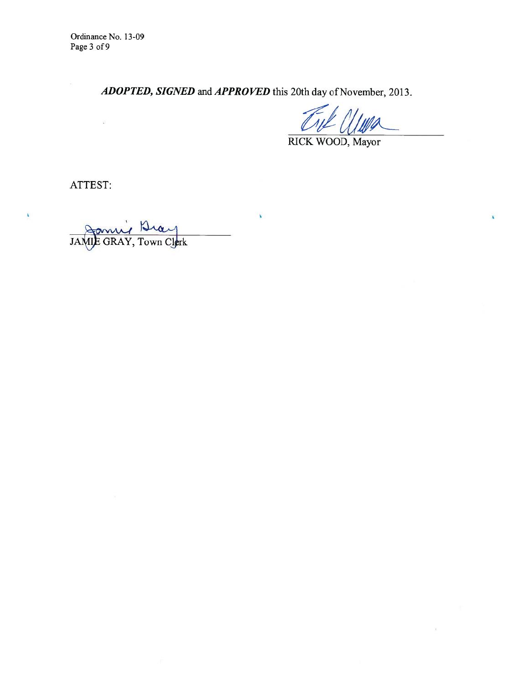Ordinance No. 13-09 Page 3 of 9

 $\widetilde{\Delta}^{\widetilde{\gamma}}$ 

ADOPTED, SIGNED and APPROVED this 20th day of November, 2013.

¥

¥

 $\chi$ 

RICK WOOD, Mayor

ATTEST:

¥

Jon JAMIE GRAY, Town Clerk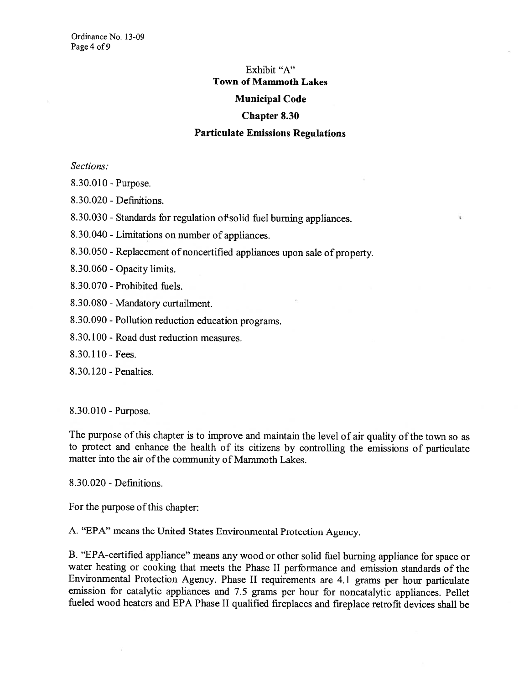### Exhibit "A" Town of Mammoth Lakes Municipal Code

## Chapter 8.30

#### Particulate Emissions Regulations

ï

Sections:

8.30.010 - Purpose.

8.30.020 - Definitions.

8.30.030 - Standards for regulation of solid fuel burning appliances.

8.30. 040 - Limitations on number of appliances.

8.30.050 - Replacement of noncertified appliances upon sale of property.

8.3 0.060 - Opacity limits.

8.30.070 - Prohibited fuels.

8.30.080 - Mandatory curtailment.

8.30.090 - Pollution reduction education programs.

8.30.100 - Road dust reduction measures.

8.30.110 - Fees.

8.30.120 - Penalties.

8.30.010 - Purpose.

The purpose of this chapter is to improve and maintain the level of air quality of the town so as to protect and enhance the health of its citizens by controlling the emissions of particulate matter into the air of the community of Mammoth Lakes.

8.30.020 - Defmitions.

For the purpose of this chapter:

A. "EPA" means the United States Environmental Protection Agency.

B. "EPA-certified appliance" means any wood or other solid fuel burning appliance for space or water heating or cooking that meets the Phase II performance and emission standards of the Environmental Protection Agency. Phase II requirements are 4.1 grams per hour particulate emission for catalytic appliances and 7.5 grams per hour for noncatalytic appliances. Pellet fueled wood heaters and EPA Phase II qualified fireplaces and fireplace retrofit devices shall be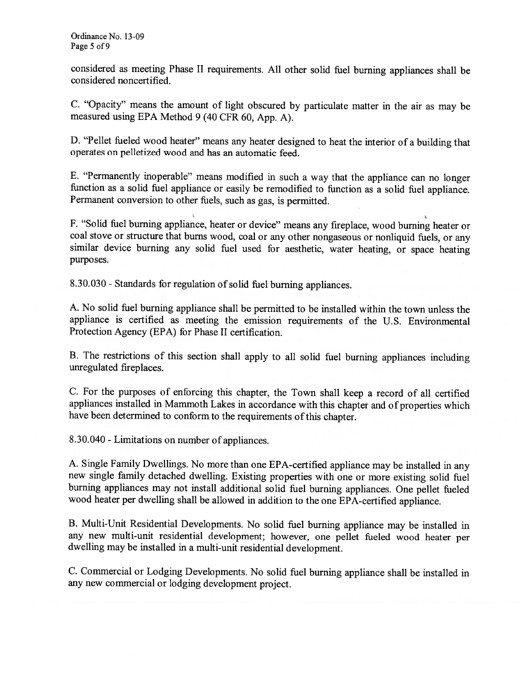considered as meeting Phase II requirements. All other solid fuel burning appliances shall be considered noncertifled.

C. "Opacity" means the amount of light obscured by particulate matter in the air as may be measured using EPA Method 9 (40 CFR 60, App. A).

D. "Pellet fueled wood heater" means any heater designed to heat the interior of <sup>a</sup> building that operates on pelletized wood and has an automatic feed.

E. "Permanently inoperable" means modified in such <sup>a</sup> way that the appliance can no longer function as <sup>a</sup> solid fuel appliance or easily be remodified to function as <sup>a</sup> solid fuel appliance. Permanent conversion to other fuels, such as gas, is permitted.

F. "Solid fuel burning appliance, heater or device" means any fireplace, wood burning heater or coal stove or structure that burns wood, coal or any other nongaseous or nonliquid fuels, or any similar device burning any solid fuel used for aesthetic, water heating, or space heating purposes.

8.30.030 - Standards for regulation of solid fuel burning appliances.

A. No solid fuel burning appliance shall be permitted to be installed within the town unless the appliance is certified as meeting the emission requirements of the U.S. Environmental Protection Agency (EPA) for Phase II certification.

B. The restrictions of this section shall apply to all solid fuel burning appliances including unregulated fireplaces.

C. For the purposes of enforcing this chapter, the Town shall keep <sup>a</sup> record of all certified appliances installed in Mammoth Lakes in accordance with this chapter and of properties which have been determined to conform to the requirements of this chapter.

8.30.040 - Limitations on number of appliances.

A. Single Family Dwellings. No more than one EPA-certified appliance may be installed in any new single family detached dwelling. Existing properties with one or more existing solid fuel burning appliances may not install additional solid fuel burning appliances. One pellet fueled wood heater per dwelling shall be allowed in addition to the one EPA-certified appliance.

B. Multi-Unit Residential Developments. No solid fuel burning appliance may be installed in any new multi-unit residential development; however, one pellet fueled wood heater per dwelling may be installed in <sup>a</sup> multi-unit residential development.

C. Commercial or Lodging Developments. No solid fuel burning appliance shall be installed in any new commercial or lodging development project.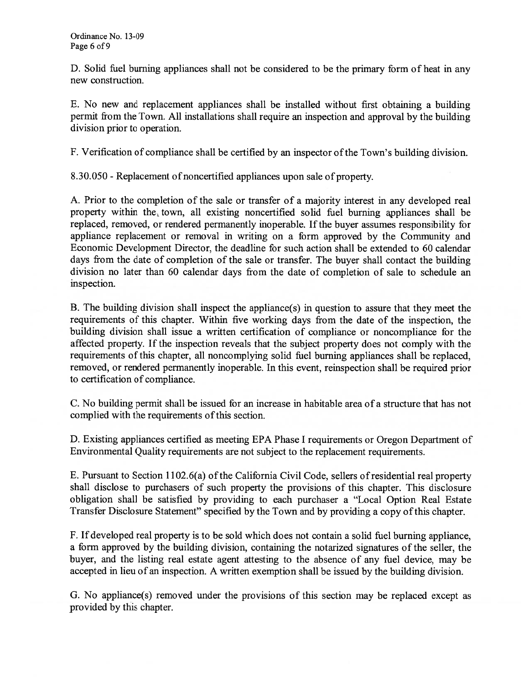D. Solid fuel burning appliances shall not be considered to be the primary form of heat in any new construction.

E. No new and replacement appliances shall be installed without first obtaining <sup>a</sup> building permit from the Town. All installations shall require an inspection and approval by the building division prior to operation.

F. Verification of compliance shall be certified by an inspector ofthe Town's building division.

8.30.050 - Replacement of noncertified appliances upon sale of property.

A. Prior to the completion of the sale or transfer of <sup>a</sup> majority interest in any developed real property within the town, all existing noncertified solid fuel burning appliances shall be replaced, removed, or rendered permanently inoperable. If the buyer assumes responsibility for appliance replacement or removal in writing on <sup>a</sup> form approved by the Community and Economic Development Director, the deadline for such action shall be extended to 60 calendar days from the date of completion of the sale or transfer. The buyer shall contact the building division no later than <sup>60</sup> calendar days from the date of completion of sale to schedule an inspection.

B. The building division shall inspect the appliance(s) in question to assure that they meet the requirements of this chapter. Within five working days from the date of the inspection, the building division shall issue <sup>a</sup> written certification of compliance or noncompliance for the affected property. If the inspection reveals that the subject property does not comply with the requirements of this chapter, all noncomplying solid fuel burning appliances shall be replaced, removed, or rendered permanently inoperable. In this event, reinspection shall be required prior to certification of compliance.

C. No building permit shall be issued for an increase in habitable area of <sup>a</sup> structure that has not complied with the requirements of this section.

D. Existing appliances certified as meeting EPA Phase I requirements or Oregon Department of Environmental Quality requirements are not subject to the replacement requirements.

E. Pursuant to Section 1102.6(a) of the California Civil Code, sellers of residential real property shall disclose to purchasers of such property the provisions of this chapter. This disclosure obligation shall be satisfied by providing to each purchaser <sup>a</sup> "Local Option Real Estate Transfer Disclosure Statement" specified by the Town and by providing <sup>a</sup> copy ofthis chapter.

F. If developed real property is to be sold which does not contain <sup>a</sup> solid fuel burning appliance, <sup>a</sup> form approved by the building division, containing the notarized signatures of the seller, the buyer, and the listing real estate agent attesting to the absence of any fuel device, may be accepted in lieu of an inspection. A written exemption shall be issued by the building division.

G. No appliance(s) removed under the provisions of this section may be replaced except as provided by this chapter.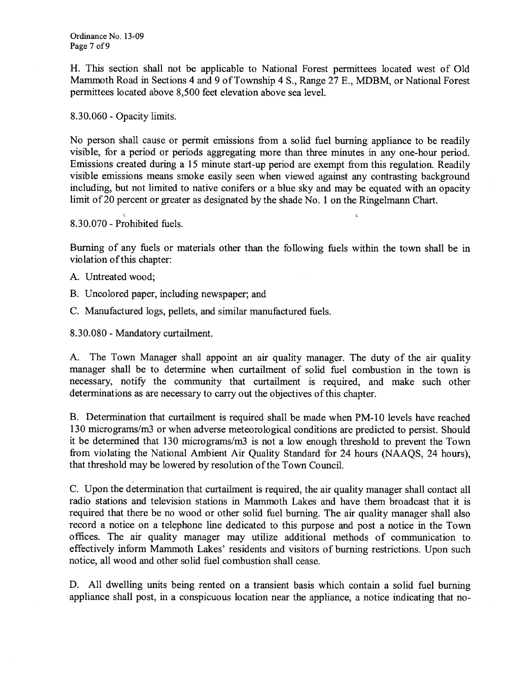H. This section shall not be applicable to National Forest permittees located west of Old Mammoth Road in Sections 4 and 9 of Township 4 S., Range 27 E., MDBM, or National Forest permittees located above 8,500 feet elevation above sea level.

8.30.060 - Opacity limits.

No person shall cause or permit emissions from <sup>a</sup> solid fuel burning appliance to be readily visible, for <sup>a</sup> period or periods aggregating more than three minutes in any one-hour period. Emissions created during <sup>a</sup> <sup>15</sup> minute start-up period are exempt from this regulation. Readily visible emissions means smoke easily seen when viewed against any contrasting background including, but not limited to native conifers or <sup>a</sup> blue sky and may be equated with an opacity limit of20 percent or greater as designated by the shade No. 1 on the Ringelmann Chart.

8.30.070 - Prohibited fuels.

Burning of any fuels or materials other than the following fuels within the town shall be in violation of this chapter:

- A. Untreated wood;
- B. Uncolored paper, including newspaper; and
- C. Manufactured logs, pellets, and similar manufactured fuels.

8.30.080 - Mandatory curtailment.

A. The Town Manager shall appoint an air quality manager. The duty of the air quality manager shall be to determine when curtailment of solid fuel combustion in the town is necessary, notify the community that curtailment is required, and make such other determinations as are necessary to carry out the objectives ofthis chapter.

B. Determination that curtailment is required shall be made when PM- 10 levels have reached 130 micrograms/m3 or when adverse meteorological conditions are predicted to persist. Should it be determined that 130 micrograms/m3 is not <sup>a</sup> low enough threshold to prevent the Town from violating the National Ambient Air Quality Standard for <sup>24</sup> hours (NAAQS, <sup>24</sup> hours), that threshold may be lowered by resolution of the Town Council.

C. Upon the determination that curtailment is required, the air quality manager shall contact all radio stations and television stations in Mammoth Lakes and have them broadcast that it is required that there be no wood or other solid fuel burning. The air quality manager shall also record <sup>a</sup> notice on <sup>a</sup> telephone line dedicated to this purpose and post <sup>a</sup> notice in the Town offices. The air quality manager may utilize additional methods of communication to effectively inform Mammoth Lakes' residents and visitors of burning restrictions. Upon such notice, all wood and other solid fuel combustion shall cease.

D. All dwelling units being rented on <sup>a</sup> transient basis which contain <sup>a</sup> solid fuel burning appliance shall post, in <sup>a</sup> conspicuous location near the appliance, <sup>a</sup> notice indicating that no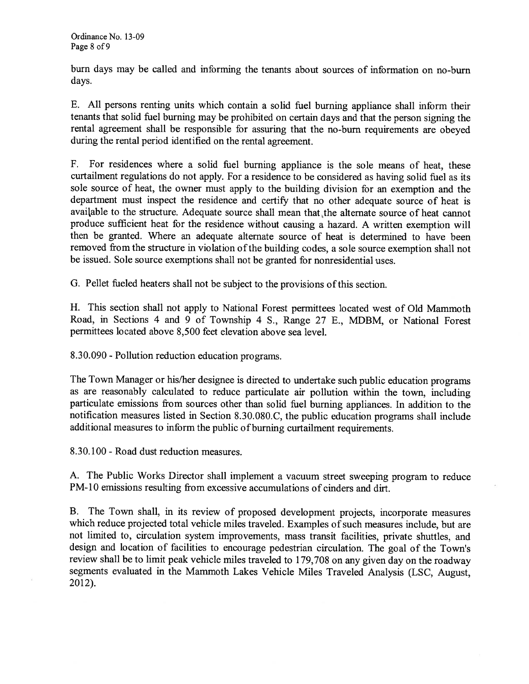burn days may be called and informing the tenants about sources of information on no-burn days.

E. All persons renting units which contain <sup>a</sup> solid fuel burning appliance shall inform their tenants that solid fuel burning may be prohibited on certain days and that the person signing the rental agreement shall be responsible for assuring that the no-bum requirements are obeyed during the rental period identified on the rental agreement.

F. For residences where <sup>a</sup> solid fuel burning appliance is the sole means of heat, these curtailment regulations do not apply. For <sup>a</sup> residence to be considered as having solid fuel as its sole source of heat, the owner must apply to the building division for an exemption and the department must inspect the residence and certify that no other adequate source of heat is available to the structure. Adequate source shall mean that the alternate source of heat cannot produce sufficient heat for the residence without causing <sup>a</sup> hazard. A written exemption will then be granted. Where an adequate alternate source of heat is determined to have been removed from the structure in violation of the building codes, a sole source exemption shall not be issued. Sole source exemptions shall not be granted for nonresidential uses.

G. Pellet fueled heaters shall not be subject to the provisions ofthis section.

H. This section shall not apply to National Forest permittees located west of Old Mammoth Road, in Sections 4 and 9 of Township 4 S., Range 27 E., MDBM, or National Forest permittees located above 8,500 feet elevation above sea level.

8.30.090 - Pollution reduction education programs.

The Town Manager or his/her designee is directed to undertake such public education programs as are reasonably calculated to reduce particulate air pollution within the town, including particulate emissions from sources other than solid fuel burning appliances. In addition to the notification measures listed in Section 8.30.080.C, the public education programs shall include additional measures to inform the public of burning curtailment requirements.

8.30.100 - Road dust reduction measures.

A. The Public Works Director shall implement <sup>a</sup> vacuum street sweeping program to reduce PM-10 emissions resulting from excessive accumulations of cinders and dirt.

B. The Town shall, in its review of proposed development projects, incorporate measures which reduce projected total vehicle miles traveled. Examples of such measures include, but are not limited to, circulation system improvements, mass transit facilities, private shuttles, and design and location of facilities to encourage pedestrian circulation. The goal of the Town's review shall be to limit peak vehicle miles traveled to 179,708 on any given day on the roadway segments evaluated in the Mammoth Lakes Vehicle Miles Traveled Analysis (LSC, August, 2012).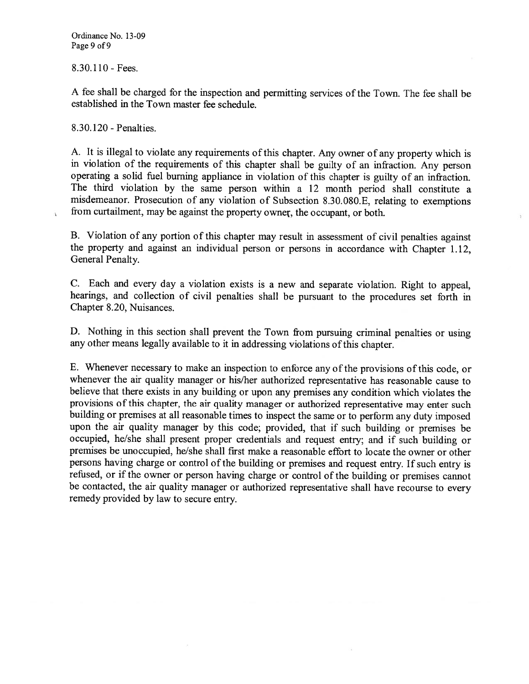8.30.110 - Fees.

A fee shall be charged for the inspection and permitting services of the Town. The fee shall be established in the Town master fee schedule.

8.30.120 - Penalties.

i,

A. It is illegal to violate any requirements of this chapter. Any owner of any property which is in violation of the requirements of this chapter shall be guilty of an infraction. Any person operating <sup>a</sup> solid fuel burning appliance in violation of this chapter is guilty of an infraction. The third violation by the same person within <sup>a</sup> 12 month period shall constitute <sup>a</sup> misdemeanor. Prosecution of any violation of Subsection 8.30.080.E, relating to exemptions from curtailment, may be against the property ownet, the occupant, or both.

B. Violation of any portion of this chapter may result in assessment of civil penalties against the property and against an individual person or persons in accordance with Chapter 1.12, General Penalty.

C. Each and every day <sup>a</sup> violation exists is <sup>a</sup> new and separate violation. Right to appeal, hearings, and collection of civil penalties shall be pursuant to the procedures set forth in Chapter 8.20, Nuisances.

D. Nothing in this section shall prevent the Town from pursuing criminal penalties or using any other means legally available to it in addressing violations ofthis chapter.

E. Whenever necessary to make an inspection to enforce any of the provisions of this code, or whenever the air quality manager or his/her authorized representative has reasonable cause to believe that there exists in any building or upon any premises any condition which violates the provisions of this chapter, the air quality manager or authorized representative may enter such building or premises at all reasonable times to inspect the same or to perform any duty imposed upon the air quality manager by this code; provided, that if such building or premises be occupied, he/she shall present proper credentials and request entry; and if such building or premises be unoccupied, he/she shall first make <sup>a</sup> reasonable effort to locate the owner or other persons having charge or control of the building or premises and request entry. If such entry is refused, or if the owner or person having charge or control of the building or premises cannot be contacted, the air quality manager or authorized representative shall have recourse to every remedy provided by law to secure entry.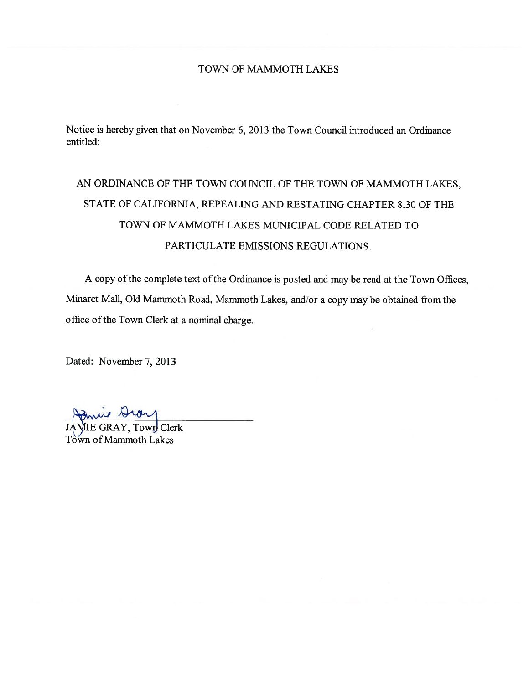#### TOWN OF MAMMOTH LAKES

Notice is hereby given that on November 6, 2013 the Town Council introduced an Ordinance entitled:

# AN ORDINANCE OF THE TOWN COUNCIL OF THE TOWN OF MAMMOTH LAKES, STATE OF CALIFORNIA, REPEALING AND RESTATING CHAPTER 8.30 OF THE TOWN OF MAMMOTH LAKES MUNICIPAL CODE RELATED TO PARTICULATE EMISSIONS REGULATIONS.

A copy of the complete text of the Ordinance is posted and may be read at the Town Offices, Minaret Mall, Old Mammoth Road, Mammoth Lakes, and/or a copy may be obtained from the office ofthe Town Clerk at <sup>a</sup> nominal charge.

Dated: November 7, 2013

in Dia

E GRAY, Town Clerk Town of Mammoth Lakes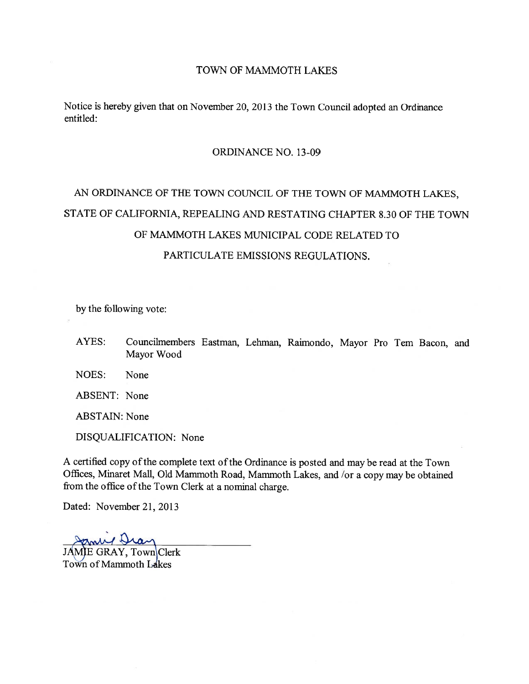#### TOWN OF MAMMOTH LAKES

Notice is hereby given that on November 20, 2013 the Town Council adopted an Ordinance entitled:

#### ORDINANCE NO. 13-09

# AN ORDINANCE OF THE TOWN COUNCIL OF THE TOWN OF MAMMOTH LAKES, STATE OF CALIFORNIA, REPEALING AND RESTATING CHAPTER 8.30 OF THE TOWN OF MAMMOTH LAKES MUNICIPAL CODE RELATED TO PARTICULATE EMISSIONS REGULATIONS.

by the following vote:

- AYES: Councilmembers Eastman, Lehman, Raimondo, Mayor Pro Tem Bacon, and Mayor Wood
- NOES: None
- ABSENT: None

ABSTAIN: None

DISQUALIFICATION: None

A certified copy of the complete text of the Ordinance is posted and may be read at the Town Offices, Minaret Mall, Old Mammoth Road, Mammoth Lakes, and /or a copy may be obtained from the office of the Town Clerk at a nominal charge.

Dated: November 21, 2013

and N

JAMIE GRAY, Town Clerk Town of Mammoth Lakes